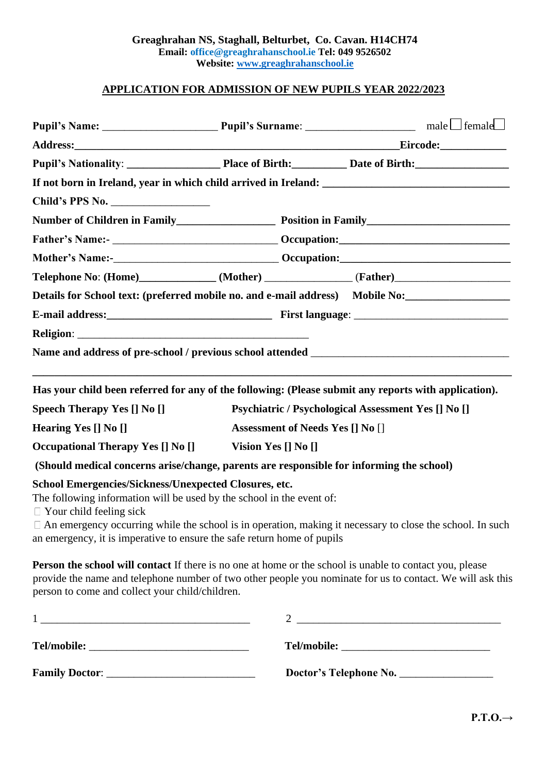## **APPLICATION FOR ADMISSION OF NEW PUPILS YEAR 2022/2023**

|                                                                                                                                                                                                                                                                                                                                                                                                                                              |  | Details for School text: (preferred mobile no. and e-mail address) Mobile No:                                                                                                                                                 |  |
|----------------------------------------------------------------------------------------------------------------------------------------------------------------------------------------------------------------------------------------------------------------------------------------------------------------------------------------------------------------------------------------------------------------------------------------------|--|-------------------------------------------------------------------------------------------------------------------------------------------------------------------------------------------------------------------------------|--|
|                                                                                                                                                                                                                                                                                                                                                                                                                                              |  |                                                                                                                                                                                                                               |  |
|                                                                                                                                                                                                                                                                                                                                                                                                                                              |  |                                                                                                                                                                                                                               |  |
|                                                                                                                                                                                                                                                                                                                                                                                                                                              |  |                                                                                                                                                                                                                               |  |
|                                                                                                                                                                                                                                                                                                                                                                                                                                              |  | Has your child been referred for any of the following: (Please submit any reports with application).                                                                                                                          |  |
| <b>Speech Therapy Yes [] No []</b>                                                                                                                                                                                                                                                                                                                                                                                                           |  | Psychiatric / Psychological Assessment Yes [] No []                                                                                                                                                                           |  |
| Hearing Yes [] No []                                                                                                                                                                                                                                                                                                                                                                                                                         |  | Assessment of Needs Yes [] No []                                                                                                                                                                                              |  |
| Occupational Therapy Yes [] No [] Vision Yes [] No []                                                                                                                                                                                                                                                                                                                                                                                        |  |                                                                                                                                                                                                                               |  |
| (Should medical concerns arise/change, parents are responsible for informing the school)                                                                                                                                                                                                                                                                                                                                                     |  |                                                                                                                                                                                                                               |  |
| School Emergencies/Sickness/Unexpected Closures, etc.<br>The following information will be used by the school in the event of:<br>$\Box$ Your child feeling sick<br>an emergency, it is imperative to ensure the safe return home of pupils                                                                                                                                                                                                  |  | $\Box$ An emergency occurring while the school is in operation, making it necessary to close the school. In such                                                                                                              |  |
| person to come and collect your child/children.                                                                                                                                                                                                                                                                                                                                                                                              |  | <b>Person the school will contact</b> If there is no one at home or the school is unable to contact you, please<br>provide the name and telephone number of two other people you nominate for us to contact. We will ask this |  |
| $\begin{tabular}{ c c c c } \hline & \multicolumn{3}{ c }{\textbf{1}} & \multicolumn{3}{ c }{\textbf{1}} & \multicolumn{3}{ c }{\textbf{1}} & \multicolumn{3}{ c }{\textbf{1}} & \multicolumn{3}{ c }{\textbf{1}} & \multicolumn{3}{ c }{\textbf{1}} & \multicolumn{3}{ c }{\textbf{1}} & \multicolumn{3}{ c }{\textbf{1}} & \multicolumn{3}{ c }{\textbf{1}} & \multicolumn{3}{ c }{\textbf{1}} & \multicolumn{3}{ c }{\textbf{1}} & \mult$ |  | $\begin{tabular}{c} 2 \end{tabular}$                                                                                                                                                                                          |  |
|                                                                                                                                                                                                                                                                                                                                                                                                                                              |  |                                                                                                                                                                                                                               |  |

**Family Doctor**: \_\_\_\_\_\_\_\_\_\_\_\_\_\_\_\_\_\_\_\_\_\_\_\_\_\_\_ **Doctor's Telephone No.** \_\_\_\_\_\_\_\_\_\_\_\_\_\_\_\_\_